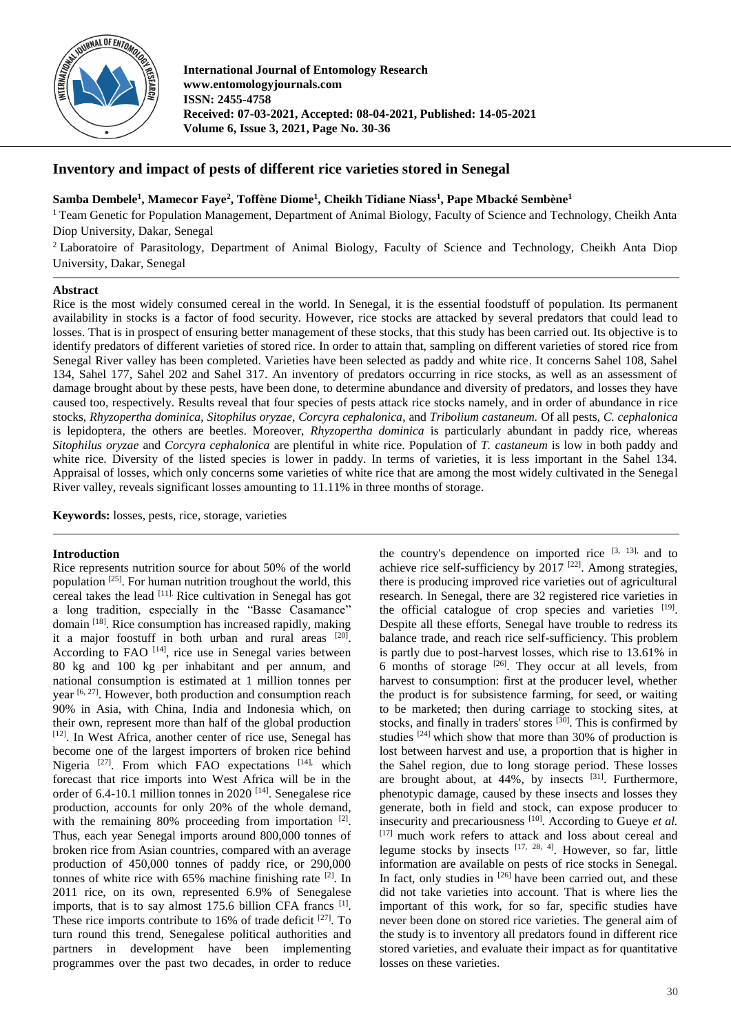

**International Journal of Entomology Research www.entomologyjournals.com ISSN: 2455-4758 Received: 07-03-2021, Accepted: 08-04-2021, Published: 14-05-2021 Volume 6, Issue 3, 2021, Page No. 30-36**

## **Inventory and impact of pests of different rice varieties stored in Senegal**

**Samba Dembele<sup>1</sup> , Mamecor Faye<sup>2</sup> , Toffène Diome<sup>1</sup> , Cheikh Tidiane Niass<sup>1</sup> , Pape Mbacké Sembène<sup>1</sup>**

<sup>1</sup> Team Genetic for Population Management, Department of Animal Biology, Faculty of Science and Technology, Cheikh Anta Diop University, Dakar, Senegal

<sup>2</sup> Laboratoire of Parasitology, Department of Animal Biology, Faculty of Science and Technology, Cheikh Anta Diop University, Dakar, Senegal

## **Abstract**

Rice is the most widely consumed cereal in the world. In Senegal, it is the essential foodstuff of population. Its permanent availability in stocks is a factor of food security. However, rice stocks are attacked by several predators that could lead to losses. That is in prospect of ensuring better management of these stocks, that this study has been carried out. Its objective is to identify predators of different varieties of stored rice. In order to attain that, sampling on different varieties of stored rice from Senegal River valley has been completed. Varieties have been selected as paddy and white rice. It concerns Sahel 108, Sahel 134, Sahel 177, Sahel 202 and Sahel 317. An inventory of predators occurring in rice stocks, as well as an assessment of damage brought about by these pests, have been done, to determine abundance and diversity of predators, and losses they have caused too, respectively. Results reveal that four species of pests attack rice stocks namely, and in order of abundance in rice stocks, *Rhyzopertha dominica*, *Sitophilus oryzae*, *Corcyra cephalonica*, and *Tribolium castaneum.* Of all pests, *C. cephalonica*  is lepidoptera, the others are beetles. Moreover, *Rhyzopertha dominica* is particularly abundant in paddy rice, whereas *Sitophilus oryzae* and *Corcyra cephalonica* are plentiful in white rice. Population of *T. castaneum* is low in both paddy and white rice. Diversity of the listed species is lower in paddy. In terms of varieties, it is less important in the Sahel 134. Appraisal of losses, which only concerns some varieties of white rice that are among the most widely cultivated in the Senegal River valley, reveals significant losses amounting to 11.11% in three months of storage.

**Keywords:** losses, pests, rice, storage, varieties

## **Introduction**

Rice represents nutrition source for about 50% of the world population [25]. For human nutrition troughout the world, this cereal takes the lead [11]. Rice cultivation in Senegal has got a long tradition, especially in the "Basse Casamance" domain [18]. Rice consumption has increased rapidly, making it a major foostuff in both urban and rural areas  $[20]$ . According to FAO [14], rice use in Senegal varies between 80 kg and 100 kg per inhabitant and per annum, and national consumption is estimated at 1 million tonnes per year [6, 27]. However, both production and consumption reach 90% in Asia, with China, India and Indonesia which, on their own, represent more than half of the global production [12]. In West Africa, another center of rice use, Senegal has become one of the largest importers of broken rice behind Nigeria<sup>[27]</sup>. From which FAO expectations<sup>[14],</sup> which forecast that rice imports into West Africa will be in the order of 6.4-10.1 million tonnes in 2020 [14]. Senegalese rice production, accounts for only 20% of the whole demand, with the remaining 80% proceeding from importation <sup>[2]</sup>. Thus, each year Senegal imports around 800,000 tonnes of broken rice from Asian countries, compared with an average production of 450,000 tonnes of paddy rice, or 290,000 tonnes of white rice with 65% machine finishing rate [2]. In 2011 rice, on its own, represented 6.9% of Senegalese imports, that is to say almost 175.6 billion CFA francs <sup>[1]</sup>. These rice imports contribute to 16% of trade deficit [27]. To turn round this trend, Senegalese political authorities and partners in development have been implementing programmes over the past two decades, in order to reduce

the country's dependence on imported rice  $[3, 13]$ , and to achieve rice self-sufficiency by  $2017$  <sup>[22]</sup>. Among strategies, there is producing improved rice varieties out of agricultural research. In Senegal, there are 32 registered rice varieties in the official catalogue of crop species and varieties [19]. Despite all these efforts, Senegal have trouble to redress its balance trade, and reach rice self-sufficiency. This problem is partly due to post-harvest losses, which rise to 13.61% in 6 months of storage  $[26]$ . They occur at all levels, from harvest to consumption: first at the producer level, whether the product is for subsistence farming, for seed, or waiting to be marketed; then during carriage to stocking sites, at stocks, and finally in traders' stores  $^{[30]}$ . This is confirmed by studies  $[24]$  which show that more than 30% of production is lost between harvest and use, a proportion that is higher in the Sahel region, due to long storage period. These losses are brought about, at 44%, by insects <sup>[31]</sup>. Furthermore, phenotypic damage, caused by these insects and losses they generate, both in field and stock, can expose producer to insecurity and precariousness [10]. According to Gueye *et al.*  [17] much work refers to attack and loss about cereal and legume stocks by insects  $[17, 28, 4]$ . However, so far, little information are available on pests of rice stocks in Senegal. In fact, only studies in  $[26]$  have been carried out, and these did not take varieties into account. That is where lies the important of this work, for so far, specific studies have never been done on stored rice varieties. The general aim of the study is to inventory all predators found in different rice stored varieties, and evaluate their impact as for quantitative losses on these varieties.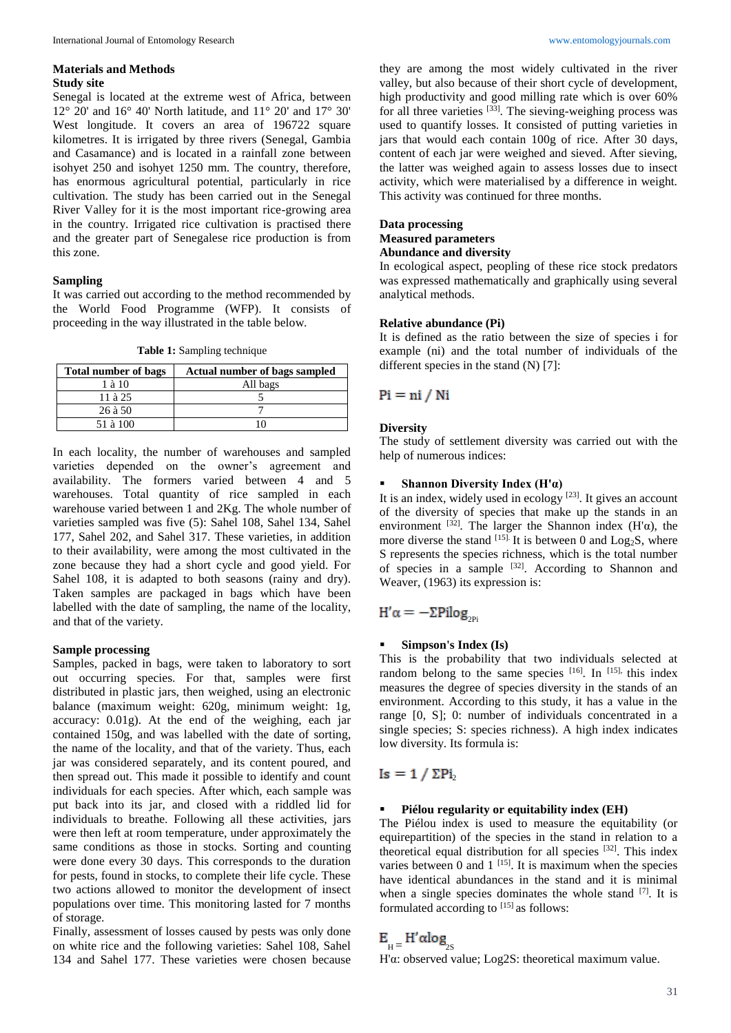#### **Materials and Methods Study site**

Senegal is located at the extreme west of Africa, between 12° 20' and 16° 40' North latitude, and 11° 20' and 17° 30' West longitude. It covers an area of 196722 square kilometres. It is irrigated by three rivers (Senegal, Gambia and Casamance) and is located in a rainfall zone between isohyet 250 and isohyet 1250 mm. The country, therefore, has enormous agricultural potential, particularly in rice cultivation. The study has been carried out in the Senegal River Valley for it is the most important rice-growing area in the country. Irrigated rice cultivation is practised there and the greater part of Senegalese rice production is from this zone.

## **Sampling**

It was carried out according to the method recommended by the World Food Programme (WFP). It consists of proceeding in the way illustrated in the table below.

**Table 1:** Sampling technique

| <b>Total number of bags</b> | Actual number of bags sampled |  |  |
|-----------------------------|-------------------------------|--|--|
| $1$ à $10$                  | All bags                      |  |  |
| $11$ à $25$                 |                               |  |  |
| 26 à 50                     |                               |  |  |
| 51 à 100                    |                               |  |  |

In each locality, the number of warehouses and sampled varieties depended on the owner's agreement and availability. The formers varied between 4 and 5 warehouses. Total quantity of rice sampled in each warehouse varied between 1 and 2Kg. The whole number of varieties sampled was five (5): Sahel 108, Sahel 134, Sahel 177, Sahel 202, and Sahel 317. These varieties, in addition to their availability, were among the most cultivated in the zone because they had a short cycle and good yield. For Sahel 108, it is adapted to both seasons (rainy and dry). Taken samples are packaged in bags which have been labelled with the date of sampling, the name of the locality, and that of the variety.

## **Sample processing**

Samples, packed in bags, were taken to laboratory to sort out occurring species. For that, samples were first distributed in plastic jars, then weighed, using an electronic balance (maximum weight: 620g, minimum weight: 1g, accuracy: 0.01g). At the end of the weighing, each jar contained 150g, and was labelled with the date of sorting, the name of the locality, and that of the variety. Thus, each jar was considered separately, and its content poured, and then spread out. This made it possible to identify and count individuals for each species. After which, each sample was put back into its jar, and closed with a riddled lid for individuals to breathe. Following all these activities, jars were then left at room temperature, under approximately the same conditions as those in stocks. Sorting and counting were done every 30 days. This corresponds to the duration for pests, found in stocks, to complete their life cycle. These two actions allowed to monitor the development of insect populations over time. This monitoring lasted for 7 months of storage.

Finally, assessment of losses caused by pests was only done on white rice and the following varieties: Sahel 108, Sahel 134 and Sahel 177. These varieties were chosen because

they are among the most widely cultivated in the river valley, but also because of their short cycle of development, high productivity and good milling rate which is over 60% for all three varieties [33]. The sieving-weighing process was used to quantify losses. It consisted of putting varieties in jars that would each contain 100g of rice. After 30 days, content of each jar were weighed and sieved. After sieving, the latter was weighed again to assess losses due to insect activity, which were materialised by a difference in weight. This activity was continued for three months.

# **Data processing Measured parameters**

## **Abundance and diversity**

In ecological aspect, peopling of these rice stock predators was expressed mathematically and graphically using several analytical methods.

## **Relative abundance (Pi)**

It is defined as the ratio between the size of species i for example (ni) and the total number of individuals of the different species in the stand (N) [7]:

## $Pi = ni / Ni$

## **Diversity**

The study of settlement diversity was carried out with the help of numerous indices:

## **Shannon Diversity Index (H'α)**

It is an index, widely used in ecology  $[23]$ . It gives an account of the diversity of species that make up the stands in an environment <sup>[32]</sup>. The larger the Shannon index (H' $\alpha$ ), the more diverse the stand  $^{[15]}$ . It is between 0 and Log<sub>2</sub>S, where S represents the species richness, which is the total number of species in a sample <sup>[32]</sup>. According to Shannon and Weaver, (1963) its expression is:

# $H'\alpha = -\Sigma \text{Pilog}_{\text{2PI}}$

## **Simpson's Index (Is)**

This is the probability that two individuals selected at random belong to the same species  $[16]$ . In  $[15]$ , this index measures the degree of species diversity in the stands of an environment. According to this study, it has a value in the range [0, S]; 0: number of individuals concentrated in a single species; S: species richness). A high index indicates low diversity. Its formula is:

# $Is = 1 / \Sigma Pi$

## **Piélou regularity or equitability index (EH)**

The Piélou index is used to measure the equitability (or equirepartition) of the species in the stand in relation to a theoretical equal distribution for all species [32]. This index varies between 0 and  $1$  <sup>[15]</sup>. It is maximum when the species have identical abundances in the stand and it is minimal when a single species dominates the whole stand [7]. It is formulated according to  $^{[15]}$  as follows:

# $E_{\mu} = H' \alpha log_{2S}$

H'α: observed value; Log2S: theoretical maximum value.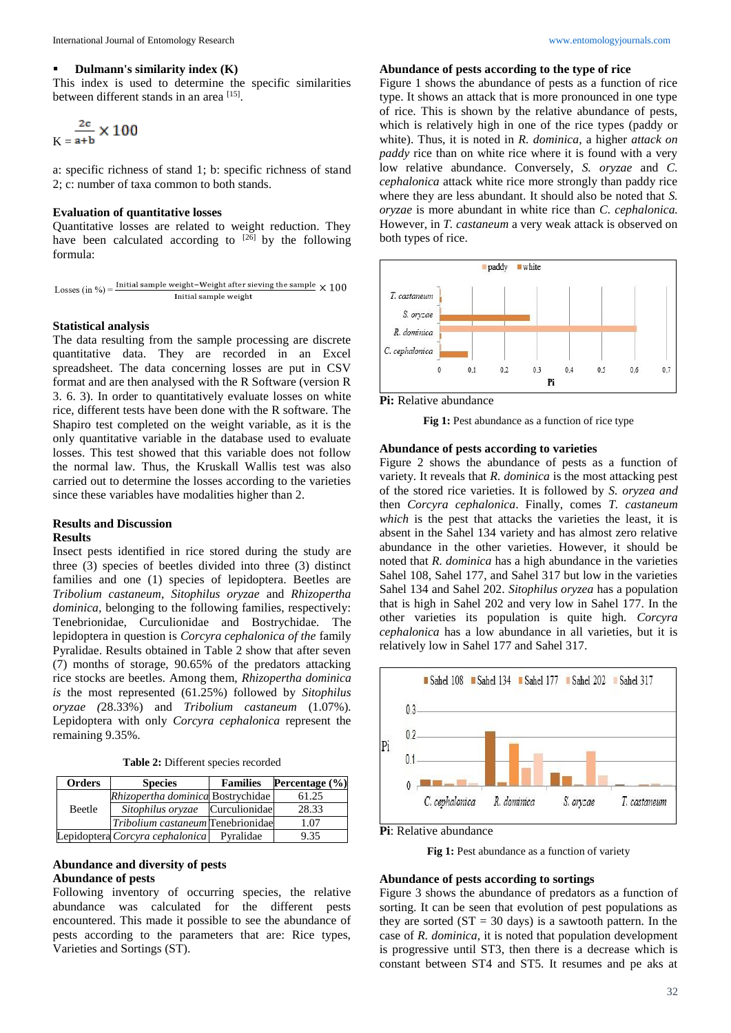## **Dulmann's similarity index (K)**

This index is used to determine the specific similarities between different stands in an area [15].

$$
K = \frac{2c}{a+b} \times 100
$$

a: specific richness of stand 1; b: specific richness of stand 2; c: number of taxa common to both stands.

## **Evaluation of quantitative losses**

Quantitative losses are related to weight reduction. They have been calculated according to  $^{[26]}$  by the following formula:

Losses (in %) =  $\frac{\text{Initial sample weight}-\text{Weight after sieving the sample}}{100} \times 100$ Initial sample weight

#### **Statistical analysis**

The data resulting from the sample processing are discrete quantitative data. They are recorded in an Excel spreadsheet. The data concerning losses are put in CSV format and are then analysed with the R Software (version R 3. 6. 3). In order to quantitatively evaluate losses on white rice, different tests have been done with the R software. The Shapiro test completed on the weight variable, as it is the only quantitative variable in the database used to evaluate losses. This test showed that this variable does not follow the normal law. Thus, the Kruskall Wallis test was also carried out to determine the losses according to the varieties since these variables have modalities higher than 2.

# **Results and Discussion**

## **Results**

Insect pests identified in rice stored during the study are three (3) species of beetles divided into three (3) distinct families and one (1) species of lepidoptera. Beetles are *Tribolium castaneum*, *Sitophilus oryzae* and *Rhizopertha dominica,* belonging to the following families, respectively: Tenebrionidae, Curculionidae and Bostrychidae*.* The lepidoptera in question is *Corcyra cephalonica of the* family Pyralidae. Results obtained in Table 2 show that after seven (7) months of storage, 90.65% of the predators attacking rice stocks are beetles. Among them, *Rhizopertha dominica is* the most represented (61.25%) followed by *Sitophilus oryzae (*28.33%) and *Tribolium castaneum* (1.07%)*.*  Lepidoptera with only *Corcyra cephalonica* represent the remaining 9.35%.

**Table 2:** Different species recorded

| <b>Orders</b> | <b>Species</b>                    | <b>Families</b> | Percentage (%) |
|---------------|-----------------------------------|-----------------|----------------|
| <b>Beetle</b> | Rhizopertha dominica Bostrychidae |                 | 61.25          |
|               | Sitophilus oryzae                 | Curculionidae   | 28.33          |
|               | Tribolium castaneum Tenebrionidae |                 | 1.07           |
|               | Lepidoptera Corcyra cephalonica   | Pvralidae       | 9.35           |

## **Abundance and diversity of pests Abundance of pests**

Following inventory of occurring species, the relative abundance was calculated for the different pests encountered. This made it possible to see the abundance of pests according to the parameters that are: Rice types, Varieties and Sortings (ST).

## **Abundance of pests according to the type of rice**

Figure 1 shows the abundance of pests as a function of rice type. It shows an attack that is more pronounced in one type of rice. This is shown by the relative abundance of pests, which is relatively high in one of the rice types (paddy or white). Thus, it is noted in *R. dominica,* a higher *attack on paddy* rice than on white rice where it is found with a very low relative abundance. Conversely, *S. oryzae* and *C. cephalonica* attack white rice more strongly than paddy rice where they are less abundant. It should also be noted that *S. oryzae* is more abundant in white rice than *C. cephalonica.*  However, in *T. castaneum* a very weak attack is observed on both types of rice.



**Pi:** Relative abundance

**Fig 1:** Pest abundance as a function of rice type

## **Abundance of pests according to varieties**

Figure 2 shows the abundance of pests as a function of variety. It reveals that *R. dominica* is the most attacking pest of the stored rice varieties. It is followed by *S. oryzea and*  then *Corcyra cephalonica*. Finally, comes *T. castaneum which* is the pest that attacks the varieties the least, it is absent in the Sahel 134 variety and has almost zero relative abundance in the other varieties. However, it should be noted that *R. dominica* has a high abundance in the varieties Sahel 108, Sahel 177, and Sahel 317 but low in the varieties Sahel 134 and Sahel 202. *Sitophilus oryzea* has a population that is high in Sahel 202 and very low in Sahel 177. In the other varieties its population is quite high. *Corcyra cephalonica* has a low abundance in all varieties, but it is relatively low in Sahel 177 and Sahel 317.



**Pi**: Relative abundance

Fig 1: Pest abundance as a function of variety

## **Abundance of pests according to sortings**

Figure 3 shows the abundance of predators as a function of sorting. It can be seen that evolution of pest populations as they are sorted  $(ST = 30 \text{ days})$  is a sawtooth pattern. In the case of *R. dominica,* it is noted that population development is progressive until ST3, then there is a decrease which is constant between ST4 and ST5. It resumes and pe aks at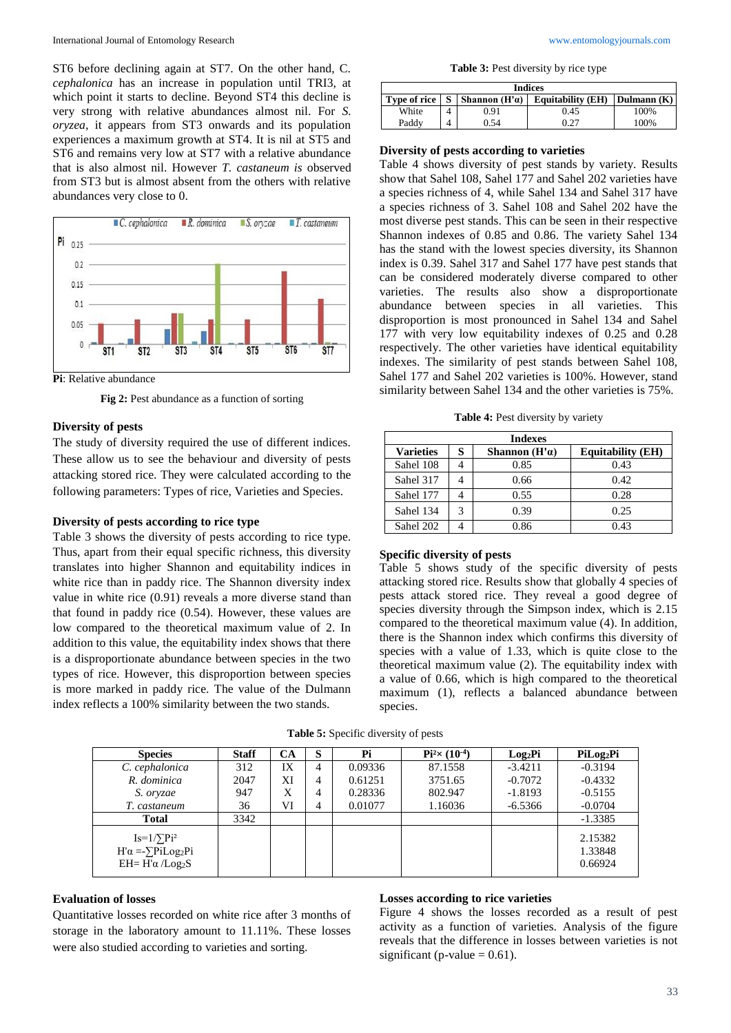ST6 before declining again at ST7. On the other hand, C. *cephalonica* has an increase in population until TRI3, at which point it starts to decline. Beyond ST4 this decline is very strong with relative abundances almost nil. For *S. oryzea,* it appears from ST3 onwards and its population experiences a maximum growth at ST4. It is nil at ST5 and ST6 and remains very low at ST7 with a relative abundance that is also almost nil. However *T. castaneum is* observed from ST3 but is almost absent from the others with relative abundances very close to 0.



**Pi**: Relative abundance

**Fig 2:** Pest abundance as a function of sorting

### **Diversity of pests**

The study of diversity required the use of different indices. These allow us to see the behaviour and diversity of pests attacking stored rice. They were calculated according to the following parameters: Types of rice, Varieties and Species.

#### **Diversity of pests according to rice type**

Table 3 shows the diversity of pests according to rice type. Thus, apart from their equal specific richness, this diversity translates into higher Shannon and equitability indices in white rice than in paddy rice. The Shannon diversity index value in white rice (0.91) reveals a more diverse stand than that found in paddy rice (0.54). However, these values are low compared to the theoretical maximum value of 2. In addition to this value, the equitability index shows that there is a disproportionate abundance between species in the two types of rice. However, this disproportion between species is more marked in paddy rice. The value of the Dulmann index reflects a 100% similarity between the two stands.

**Table 3:** Pest diversity by rice type

| <b>Indices</b>        |  |                 |                          |               |  |
|-----------------------|--|-----------------|--------------------------|---------------|--|
| <b>Type of rice</b> I |  | Shannon $(H'a)$ | <b>Equitability (EH)</b> | Dulmann $(K)$ |  |
| White                 |  | 7.91            | 0.45                     | 100%          |  |
| Paddv                 |  | ).54            | ሰ ንገ                     | 100%          |  |

#### **Diversity of pests according to varieties**

Table 4 shows diversity of pest stands by variety. Results show that Sahel 108, Sahel 177 and Sahel 202 varieties have a species richness of 4, while Sahel 134 and Sahel 317 have a species richness of 3. Sahel 108 and Sahel 202 have the most diverse pest stands. This can be seen in their respective Shannon indexes of 0.85 and 0.86. The variety Sahel 134 has the stand with the lowest species diversity, its Shannon index is 0.39. Sahel 317 and Sahel 177 have pest stands that can be considered moderately diverse compared to other varieties. The results also show a disproportionate abundance between species in all varieties. This disproportion is most pronounced in Sahel 134 and Sahel 177 with very low equitability indexes of 0.25 and 0.28 respectively. The other varieties have identical equitability indexes. The similarity of pest stands between Sahel 108, Sahel 177 and Sahel 202 varieties is 100%. However, stand similarity between Sahel 134 and the other varieties is 75%.

**Table 4:** Pest diversity by variety

| <b>Indexes</b>   |   |                       |                          |  |  |
|------------------|---|-----------------------|--------------------------|--|--|
| <b>Varieties</b> | s | Shannon $(H' \alpha)$ | <b>Equitability (EH)</b> |  |  |
| Sahel 108        |   | 0.85                  | 0.43                     |  |  |
| Sahel 317        |   | 0.66                  | 0.42                     |  |  |
| Sahel 177        |   | 0.55                  | 0.28                     |  |  |
| Sahel 134        |   | 0.39                  | 0.25                     |  |  |
| Sahel 202        |   | 0.86                  | 0.43                     |  |  |

## **Specific diversity of pests**

Table 5 shows study of the specific diversity of pests attacking stored rice. Results show that globally 4 species of pests attack stored rice. They reveal a good degree of species diversity through the Simpson index, which is 2.15 compared to the theoretical maximum value (4). In addition, there is the Shannon index which confirms this diversity of species with a value of 1.33, which is quite close to the theoretical maximum value (2). The equitability index with a value of 0.66, which is high compared to the theoretical maximum (1), reflects a balanced abundance between species.

| <b>Species</b>                                                           | <b>Staff</b> | CA | s | Pi      | $Pi^{2} \times (10^{-4})$ | Log <sub>2</sub> Pi | PiLog <sub>2</sub> Pi         |
|--------------------------------------------------------------------------|--------------|----|---|---------|---------------------------|---------------------|-------------------------------|
| C. cephalonica                                                           | 312          | IX | 4 | 0.09336 | 87.1558                   | $-3.4211$           | $-0.3194$                     |
| R. dominica                                                              | 2047         | XI | 4 | 0.61251 | 3751.65                   | $-0.7072$           | $-0.4332$                     |
| S. oryzae                                                                | 947          | X  | 4 | 0.28336 | 802.947                   | $-1.8193$           | $-0.5155$                     |
| T. castaneum                                                             | 36           | VI | 4 | 0.01077 | 1.16036                   | $-6.5366$           | $-0.0704$                     |
| <b>Total</b>                                                             | 3342         |    |   |         |                           |                     | $-1.3385$                     |
| $Is=1/\sum Pi^2$<br>$H'\alpha = \sum PiLog_2Pi$<br>$EH=H'\alpha /Log_2S$ |              |    |   |         |                           |                     | 2.15382<br>1.33848<br>0.66924 |

**Table 5:** Specific diversity of pests

## **Evaluation of losses**

Quantitative losses recorded on white rice after 3 months of storage in the laboratory amount to 11.11%. These losses were also studied according to varieties and sorting.

## **Losses according to rice varieties**

Figure 4 shows the losses recorded as a result of pest activity as a function of varieties. Analysis of the figure reveals that the difference in losses between varieties is not significant (p-value  $= 0.61$ ).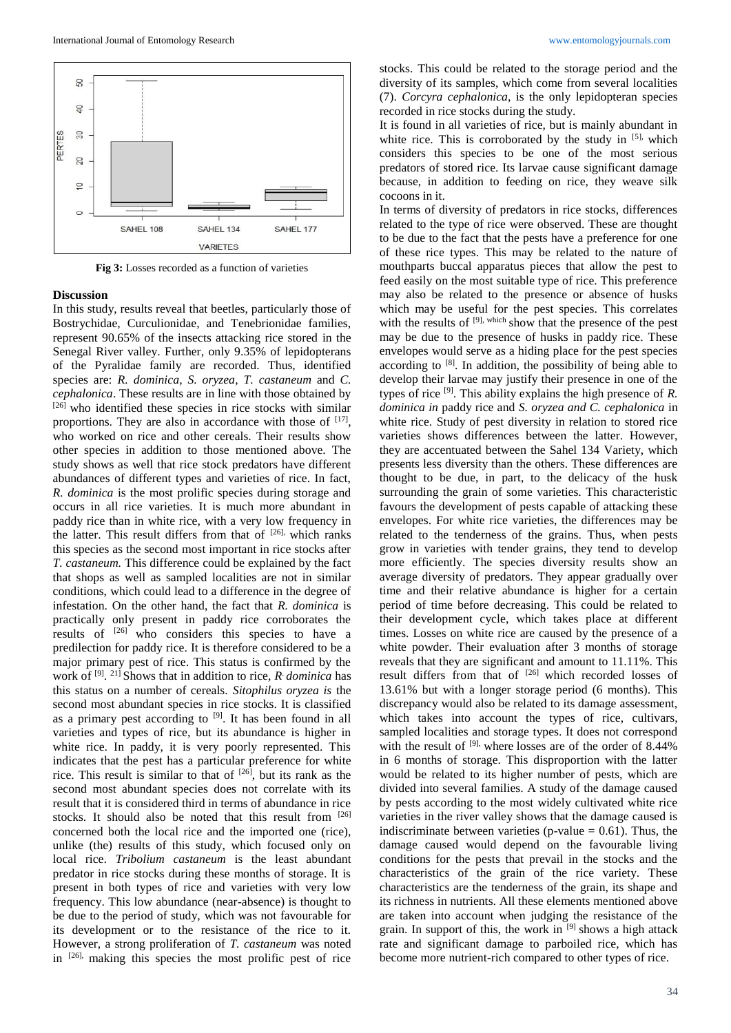

**Fig 3:** Losses recorded as a function of varieties

#### **Discussion**

In this study, results reveal that beetles, particularly those of Bostrychidae, Curculionidae, and Tenebrionidae families, represent 90.65% of the insects attacking rice stored in the Senegal River valley. Further, only 9.35% of lepidopterans of the Pyralidae family are recorded. Thus, identified species are: *R. dominica*, *S. oryzea*, *T. castaneum* and *C. cephalonica*. These results are in line with those obtained by [26] who identified these species in rice stocks with similar proportions. They are also in accordance with those of  $[17]$ , who worked on rice and other cereals. Their results show other species in addition to those mentioned above. The study shows as well that rice stock predators have different abundances of different types and varieties of rice. In fact, *R. dominica* is the most prolific species during storage and occurs in all rice varieties. It is much more abundant in paddy rice than in white rice, with a very low frequency in the latter. This result differs from that of <sup>[26],</sup> which ranks this species as the second most important in rice stocks after *T. castaneum.* This difference could be explained by the fact that shops as well as sampled localities are not in similar conditions, which could lead to a difference in the degree of infestation. On the other hand, the fact that *R. dominica* is practically only present in paddy rice corroborates the results of [26] who considers this species to have a predilection for paddy rice. It is therefore considered to be a major primary pest of rice. This status is confirmed by the work of [9] . 21] Shows that in addition to rice, *R* . *dominica* has this status on a number of cereals. *Sitophilus oryzea is* the second most abundant species in rice stocks. It is classified as a primary pest according to <sup>[9]</sup>. It has been found in all varieties and types of rice, but its abundance is higher in white rice. In paddy, it is very poorly represented. This indicates that the pest has a particular preference for white rice. This result is similar to that of [26], but its rank as the second most abundant species does not correlate with its result that it is considered third in terms of abundance in rice stocks. It should also be noted that this result from [26] concerned both the local rice and the imported one (rice), unlike (the) results of this study, which focused only on local rice. *Tribolium castaneum* is the least abundant predator in rice stocks during these months of storage. It is present in both types of rice and varieties with very low frequency. This low abundance (near-absence) is thought to be due to the period of study, which was not favourable for its development or to the resistance of the rice to it. However, a strong proliferation of *T. castaneum* was noted in [26], making this species the most prolific pest of rice

stocks. This could be related to the storage period and the diversity of its samples, which come from several localities (7). *Corcyra cephalonica*, is the only lepidopteran species recorded in rice stocks during the study.

It is found in all varieties of rice, but is mainly abundant in white rice. This is corroborated by the study in  $[5]$ , which considers this species to be one of the most serious predators of stored rice. Its larvae cause significant damage because, in addition to feeding on rice, they weave silk cocoons in it.

In terms of diversity of predators in rice stocks, differences related to the type of rice were observed. These are thought to be due to the fact that the pests have a preference for one of these rice types. This may be related to the nature of mouthparts buccal apparatus pieces that allow the pest to feed easily on the most suitable type of rice. This preference may also be related to the presence or absence of husks which may be useful for the pest species. This correlates with the results of <sup>[9], which</sup> show that the presence of the pest may be due to the presence of husks in paddy rice. These envelopes would serve as a hiding place for the pest species according to  $[8]$ . In addition, the possibility of being able to develop their larvae may justify their presence in one of the types of rice [9]. This ability explains the high presence of *R. dominica in* paddy rice and *S. oryzea and C. cephalonica* in white rice. Study of pest diversity in relation to stored rice varieties shows differences between the latter. However, they are accentuated between the Sahel 134 Variety, which presents less diversity than the others. These differences are thought to be due, in part, to the delicacy of the husk surrounding the grain of some varieties. This characteristic favours the development of pests capable of attacking these envelopes. For white rice varieties, the differences may be related to the tenderness of the grains. Thus, when pests grow in varieties with tender grains, they tend to develop more efficiently. The species diversity results show an average diversity of predators. They appear gradually over time and their relative abundance is higher for a certain period of time before decreasing. This could be related to their development cycle, which takes place at different times. Losses on white rice are caused by the presence of a white powder. Their evaluation after 3 months of storage reveals that they are significant and amount to 11.11%. This result differs from that of <sup>[26]</sup> which recorded losses of 13.61% but with a longer storage period (6 months). This discrepancy would also be related to its damage assessment, which takes into account the types of rice, cultivars, sampled localities and storage types. It does not correspond with the result of  $[9]$ , where losses are of the order of 8.44% in 6 months of storage. This disproportion with the latter would be related to its higher number of pests, which are divided into several families. A study of the damage caused by pests according to the most widely cultivated white rice varieties in the river valley shows that the damage caused is indiscriminate between varieties (p-value  $= 0.61$ ). Thus, the damage caused would depend on the favourable living conditions for the pests that prevail in the stocks and the characteristics of the grain of the rice variety. These characteristics are the tenderness of the grain, its shape and its richness in nutrients. All these elements mentioned above are taken into account when judging the resistance of the grain. In support of this, the work in [9] shows a high attack rate and significant damage to parboiled rice, which has become more nutrient-rich compared to other types of rice.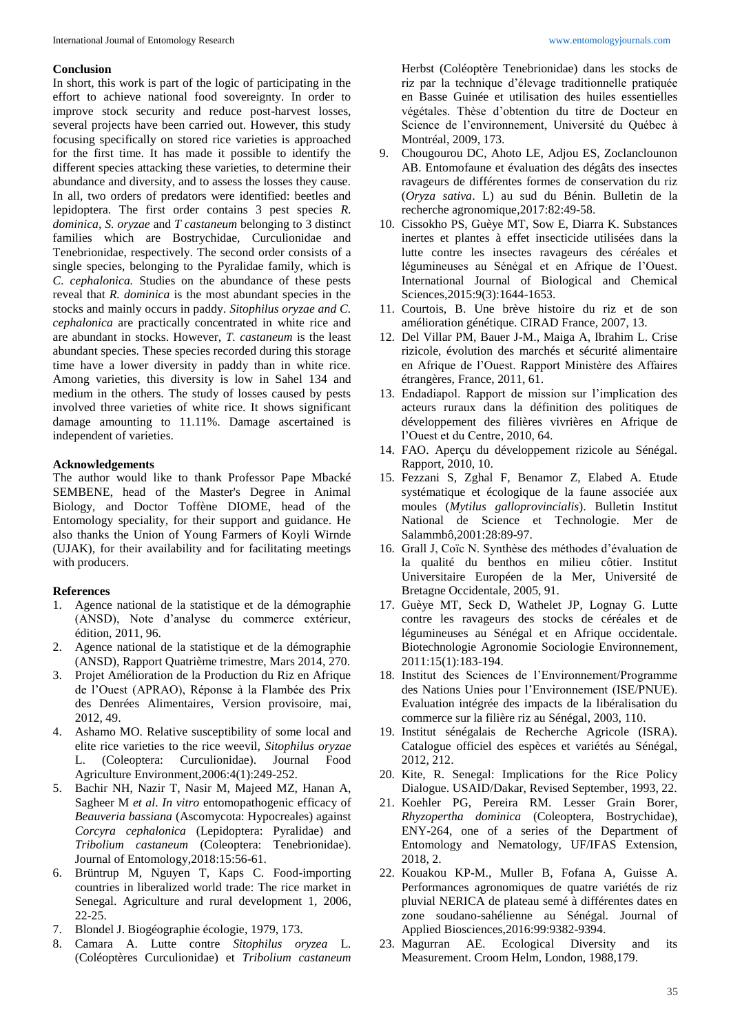## **Conclusion**

In short, this work is part of the logic of participating in the effort to achieve national food sovereignty. In order to improve stock security and reduce post-harvest losses, several projects have been carried out. However, this study focusing specifically on stored rice varieties is approached for the first time. It has made it possible to identify the different species attacking these varieties, to determine their abundance and diversity, and to assess the losses they cause. In all, two orders of predators were identified: beetles and lepidoptera. The first order contains 3 pest species *R. dominica, S. oryzae* and *T castaneum* belonging to 3 distinct families which are Bostrychidae, Curculionidae and Tenebrionidae, respectively. The second order consists of a single species, belonging to the Pyralidae family, which is *C. cephalonica.* Studies on the abundance of these pests reveal that *R. dominica* is the most abundant species in the stocks and mainly occurs in paddy. *Sitophilus oryzae and C. cephalonica* are practically concentrated in white rice and are abundant in stocks. However, *T. castaneum* is the least abundant species. These species recorded during this storage time have a lower diversity in paddy than in white rice. Among varieties, this diversity is low in Sahel 134 and medium in the others. The study of losses caused by pests involved three varieties of white rice. It shows significant damage amounting to 11.11%. Damage ascertained is independent of varieties.

## **Acknowledgements**

The author would like to thank Professor Pape Mbacké SEMBENE, head of the Master's Degree in Animal Biology, and Doctor Toffène DIOME, head of the Entomology speciality, for their support and guidance. He also thanks the Union of Young Farmers of Koyli Wirnde (UJAK), for their availability and for facilitating meetings with producers.

## **References**

- 1. Agence national de la statistique et de la démographie (ANSD), Note d'analyse du commerce extérieur, édition, 2011, 96.
- 2. Agence national de la statistique et de la démographie (ANSD), Rapport Quatrième trimestre, Mars 2014, 270.
- 3. Projet Amélioration de la Production du Riz en Afrique de l'Ouest (APRAO), Réponse à la Flambée des Prix des Denrées Alimentaires, Version provisoire, mai, 2012, 49.
- 4. Ashamo MO. Relative susceptibility of some local and elite rice varieties to the rice weevil, *Sitophilus oryzae*  L. (Coleoptera: Curculionidae). Journal Food Agriculture Environment,2006:4(1):249-252.
- 5. Bachir NH, Nazir T, Nasir M, Majeed MZ, Hanan A, Sagheer M *et al*. *In vitro* entomopathogenic efficacy of *Beauveria bassiana* (Ascomycota: Hypocreales) against *Corcyra cephalonica* (Lepidoptera: Pyralidae) and *Tribolium castaneum* (Coleoptera: Tenebrionidae). Journal of Entomology,2018:15:56-61.
- 6. Brüntrup M, Nguyen T, Kaps C. Food-importing countries in liberalized world trade: The rice market in Senegal. Agriculture and rural development 1, 2006, 22-25.
- 7. Blondel J. Biogéographie écologie, 1979, 173.
- 8. Camara A. Lutte contre *Sitophilus oryzea* L*.*  (Coléoptères Curculionidae) et *Tribolium castaneum*

Herbst (Coléoptère Tenebrionidae) dans les stocks de riz par la technique d'élevage traditionnelle pratiquée en Basse Guinée et utilisation des huiles essentielles végétales. Thèse d'obtention du titre de Docteur en Science de l'environnement, Université du Québec à Montréal, 2009, 173.

- 9. Chougourou DC, Ahoto LE, Adjou ES, Zoclanclounon AB. Entomofaune et évaluation des dégâts des insectes ravageurs de différentes formes de conservation du riz (*Oryza sativa*. L) au sud du Bénin. Bulletin de la recherche agronomique,2017:82:49-58.
- 10. Cissokho PS, Guèye MT, Sow E, Diarra K. Substances inertes et plantes à effet insecticide utilisées dans la lutte contre les insectes ravageurs des céréales et légumineuses au Sénégal et en Afrique de l'Ouest. International Journal of Biological and Chemical Sciences,2015:9(3):1644-1653.
- 11. Courtois, B. Une brève histoire du riz et de son amélioration génétique. CIRAD France, 2007, 13.
- 12. Del Villar PM, Bauer J-M., Maiga A, Ibrahim L. Crise rizicole, évolution des marchés et sécurité alimentaire en Afrique de l'Ouest. Rapport Ministère des Affaires étrangères, France, 2011, 61.
- 13. Endadiapol. Rapport de mission sur l'implication des acteurs ruraux dans la définition des politiques de développement des filières vivrières en Afrique de l'Ouest et du Centre, 2010, 64.
- 14. FAO. Aperçu du développement rizicole au Sénégal. Rapport, 2010, 10.
- 15. Fezzani S, Zghal F, Benamor Z, Elabed A. Etude systématique et écologique de la faune associée aux moules (*Mytilus galloprovincialis*). Bulletin Institut National de Science et Technologie. Mer de Salammbô,2001:28:89-97.
- 16. Grall J, Coïc N. Synthèse des méthodes d'évaluation de la qualité du benthos en milieu côtier. Institut Universitaire Européen de la Mer, Université de Bretagne Occidentale, 2005, 91.
- 17. Guèye MT, Seck D, Wathelet JP, Lognay G. Lutte contre les ravageurs des stocks de céréales et de légumineuses au Sénégal et en Afrique occidentale. Biotechnologie Agronomie Sociologie Environnement, 2011:15(1):183-194.
- 18. Institut des Sciences de l'Environnement/Programme des Nations Unies pour l'Environnement (ISE/PNUE). Evaluation intégrée des impacts de la libéralisation du commerce sur la filière riz au Sénégal, 2003, 110.
- 19. Institut sénégalais de Recherche Agricole (ISRA). Catalogue officiel des espèces et variétés au Sénégal, 2012, 212.
- 20. Kite, R. Senegal: Implications for the Rice Policy Dialogue. USAID/Dakar, Revised September, 1993, 22.
- 21. Koehler PG, Pereira RM. Lesser Grain Borer, *Rhyzopertha dominica* (Coleoptera, Bostrychidae), ENY-264, one of a series of the Department of Entomology and Nematology, UF/IFAS Extension, 2018, 2.
- 22. Kouakou KP-M., Muller B, Fofana A, Guisse A. Performances agronomiques de quatre variétés de riz pluvial NERICA de plateau semé à différentes dates en zone soudano-sahélienne au Sénégal*.* Journal of Applied Biosciences,2016:99:9382-9394.
- 23. Magurran AE. Ecological Diversity and its Measurement. Croom Helm, London, 1988,179.